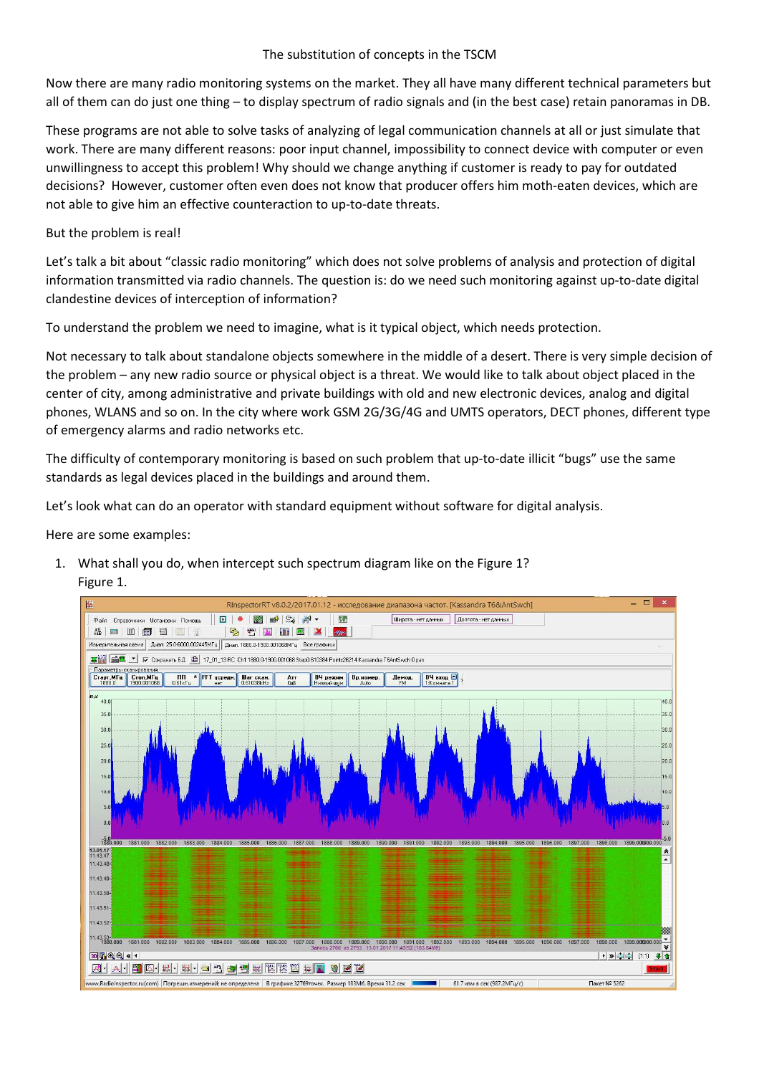### The substitution of concepts in the TSCM

Now there are many radio monitoring systems on the market. They all have many different technical parameters but all of them can do just one thing – to display spectrum of radio signals and (in the best case) retain panoramas in DB.

These programs are not able to solve tasks of analyzing of legal communication channels at all or just simulate that work. There are many different reasons: poor input channel, impossibility to connect device with computer or even unwillingness to accept this problem! Why should we change anything if customer is ready to pay for outdated decisions? However, customer often even does not know that producer offers him moth-eaten devices, which are not able to give him an effective counteraction to up-to-date threats.

# But the problem is real!

Let's talk a bit about "classic radio monitoring" which does not solve problems of analysis and protection of digital information transmitted via radio channels. The question is: do we need such monitoring against up-to-date digital clandestine devices of interception of information?

To understand the problem we need to imagine, what is it typical object, which needs protection.

Not necessary to talk about standalone objects somewhere in the middle of a desert. There is very simple decision of the problem – any new radio source or physical object is a threat. We would like to talk about object placed in the center of city, among administrative and private buildings with old and new electronic devices, analog and digital phones, WLANS and so on. In the city where work GSM 2G/3G/4G and UMTS operators, DECT phones, different type of emergency alarms and radio networks etc.

The difficulty of contemporary monitoring is based on such problem that up-to-date illicit "bugs" use the same standards as legal devices placed in the buildings and around them.

Let's look what can do an operator with standard equipment without software for digital analysis.

Here are some examples:

1. What shall you do, when intercept such spectrum diagram like on the Figure 1? Figure 1.

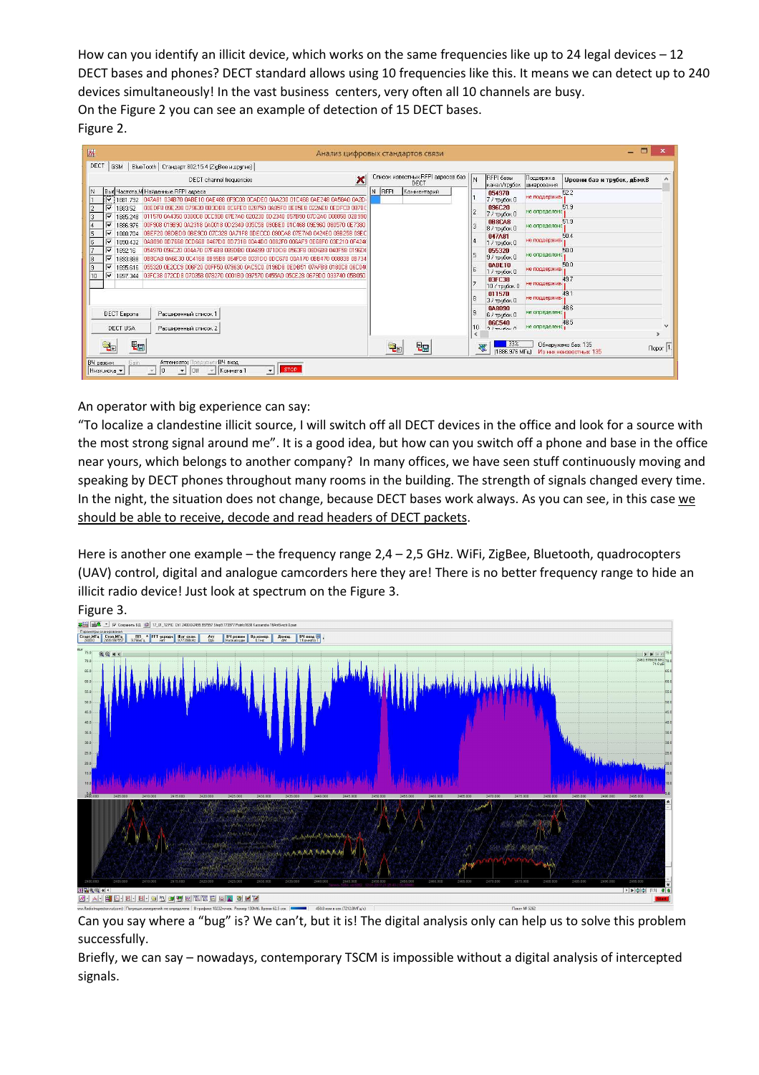How can you identify an illicit device, which works on the same frequencies like up to 24 legal devices  $-12$ DECT bases and phones? DECT standard allows using 10 frequencies like this. It means we can detect up to 240 devices simultaneously! In the vast business centers, very often all 10 channels are busy. On the Figure 2 you can see an example of detection of 15 DECT bases. Figure 2.

| 驆<br>Анализ цифровых стандартов связи                                                                                                                                                                        | о<br>$\mathbf{x}$                                                                                                                     |
|--------------------------------------------------------------------------------------------------------------------------------------------------------------------------------------------------------------|---------------------------------------------------------------------------------------------------------------------------------------|
| DECT<br>BlueTooth   Стандарт 802.15.4 (ZigBee и другие)  <br>GSM                                                                                                                                             |                                                                                                                                       |
| ×<br>DECT channel frequencies                                                                                                                                                                                | Список известных RFPI адресов баз<br>RFPI базы<br>Поддержка<br>١N<br>Уровни баз и трубок, дБмкВ<br>DECT<br>канал/трубок<br>шифрования |
| Выб Частота, М Найденные RFPI адреса<br>N RFPL<br>IN.<br>π<br>1881.792 047A81 034B70 0ABE10 0AE488 0F9C08 0CADE0 0AA230 01C468 0AE248 0A58A0 0A2D-                                                           | Комментарий<br>52.2<br>054970<br>не поддержив-<br>7 / трубок 0                                                                        |
| IV<br>2<br>1883.52<br>100EDF8 09E208 079630 0B3DB8 0C6FE0 028750 0A85F0 0E05E8 022AE8 0EDFC0 08780<br>v<br>13<br>1011570 044350 030008 000308 07F7A0 020230 0D2340 057B90 07D2A0 008858 02B990<br>1885.248   | 096C20<br>51.9<br>не определено<br>7 / трубок 0                                                                                       |
| v<br>100F908 019B90 0A2318 0A0018 0D2340 035C58 090BE0 01C468 09E960 080570 0E7380<br>1886 976                                                                                                               | 51.9<br>0B8CA8<br>не определено<br>8 / трубок 0                                                                                       |
| v<br>5<br>iOBEE20 OBDBDO OBE9C0 07C328 0AZ1E8 ODECC0 090CA8 07E7A0 0424E0 09B258 09EC<br>1888.704<br>⊽<br>16<br>inasnan od Z668 ocd668 0467d0 od Z318 ona4d0 oo82E0 oo6AE9 of 68E0 03E210 oE4240<br>1890.432 | 047A81<br>50.4<br>не поддержив-<br>1 / трубок 0                                                                                       |
| ⊽<br>054970 096C20 004A70 07F4B8 089DB0 00A699 071DD8 0563F8 08D6B8 040F58 0196D8<br>1892.16<br>⊽<br>l8<br>1893.888<br>IOBBCAS DARESD OC4168 OB95B8 O64ED8 0031D0 ODC670 O04170 OBB470 O08838 OB734          | 50.0<br>055320<br>не определено<br>9 / трубок 0                                                                                       |
| v<br>19<br>1895.616 055320 0E2CC9 006F20 00FF50.079630 0AC5C0.0196D8 0EDB51 07AFB8 0180C8 06C04<br>⊽                                                                                                         | 50.0<br><b>0ABE10</b><br>не поддержив.<br>16<br>1 / трубок 0                                                                          |
| 03FC38 072CD8 070358 078270 0001B0 097570 0455A0 05CE28 0679D0 033740 05B050<br>110<br>1897.344                                                                                                              | 49.7<br>03FC38<br>не поддержив<br>10 / трубок 0                                                                                       |
|                                                                                                                                                                                                              | 49.1<br>011570<br>не поддержив-<br>3 / трубок 0                                                                                       |
| <b>DECT Espona</b><br>Расширенный список 1                                                                                                                                                                   | 048090<br>48.6<br>не определено<br>6 / трубок 0                                                                                       |
| <b>DECT USA</b><br>Расширенный список 2                                                                                                                                                                      | 48.5<br><b>06C540</b><br>v<br>не определено<br>10<br>$2 / \tau$ nuńny $\theta$                                                        |
| <b>Rg</b>                                                                                                                                                                                                    | $\epsilon$<br>$\mathcal{P}$<br>33%<br>Обнарчжено баз: 135<br><b>Qg</b><br>$\sqrt{1}$<br>磟                                             |
|                                                                                                                                                                                                              | Из них неизвестных 135<br>(1886.976 MFu)                                                                                              |
| ВЧ вход<br>Аттенюатор Предусили<br>ВЧ режим<br>Gain<br><b>STOP</b><br>Низк иска ▼<br>10<br>loff<br>Комната 1<br>$\mathbf{v}$<br>$\mathbf{v}$<br>$\mathcal{F}$                                                |                                                                                                                                       |

An operator with big experience can say:

"To localize a clandestine illicit source, I will switch off all DECT devices in the office and look for a source with the most strong signal around me". It is a good idea, but how can you switch off a phone and base in the office near yours, which belongs to another company? In many offices, we have seen stuff continuously moving and speaking by DECT phones throughout many rooms in the building. The strength of signals changed every time. In the night, the situation does not change, because DECT bases work always. As you can see, in this case we should be able to receive, decode and read headers of DECT packets.

Here is another one example – the frequency range  $2.4 - 2.5$  GHz. WiFi, ZigBee, Bluetooth, quadrocopters (UAV) control, digital and analogue camcorders here they are! There is no better frequency range to hide an illicit radio device! Just look at spectrum on the Figure 3.



Can you say where a "bug" is? We can't, but it is! The digital analysis only can help us to solve this problem successfully.

Briefly, we can say – nowadays, contemporary TSCM is impossible without a digital analysis of intercepted signals.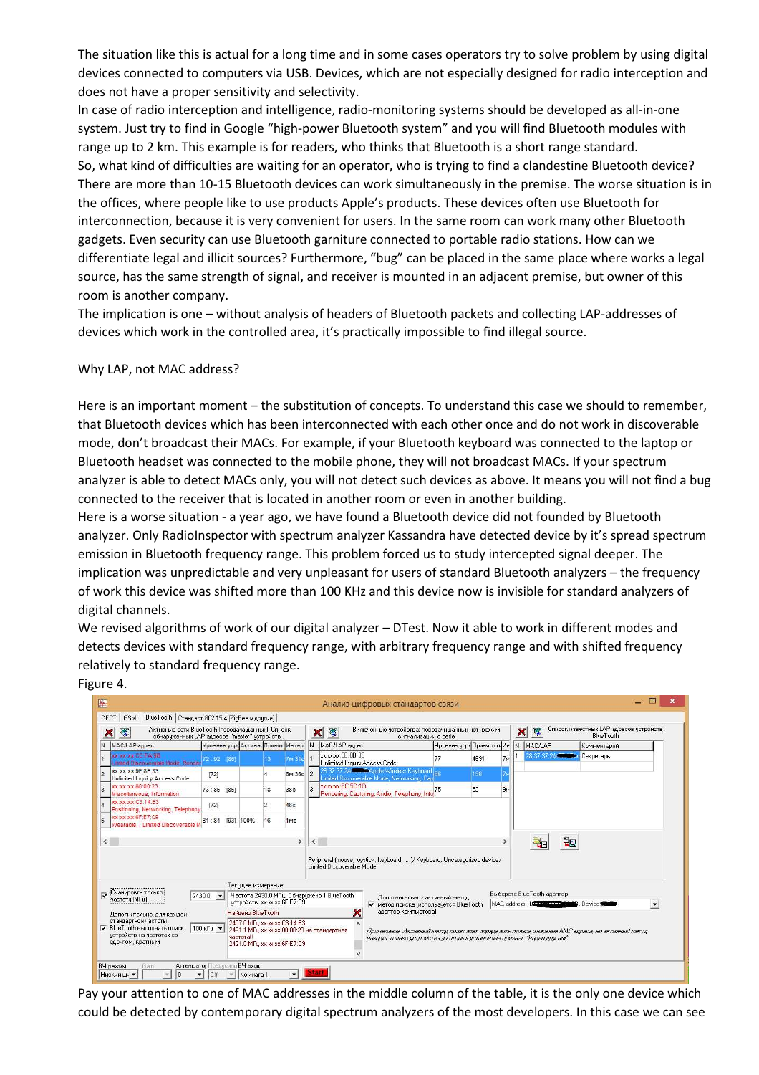The situation like this is actual for a long time and in some cases operators try to solve problem by using digital devices connected to computers via USB. Devices, which are not especially designed for radio interception and does not have a proper sensitivity and selectivity.

In case of radio interception and intelligence, radio-monitoring systems should be developed as all-in-one system. Just try to find in Google "high-power Bluetooth system" and you will find Bluetooth modules with range up to 2 km. This example is for readers, who thinks that Bluetooth is a short range standard. So, what kind of difficulties are waiting for an operator, who is trying to find a clandestine Bluetooth device? There are more than 10-15 Bluetooth devices can work simultaneously in the premise. The worse situation is in the offices, where people like to use products Apple's products. These devices often use Bluetooth for interconnection, because it is very convenient for users. In the same room can work many other Bluetooth gadgets. Even security can use Bluetooth garniture connected to portable radio stations. How can we differentiate legal and illicit sources? Furthermore, "bug" can be placed in the same place where works a legal source, has the same strength of signal, and receiver is mounted in an adjacent premise, but owner of this room is another company.

The implication is one – without analysis of headers of Bluetooth packets and collecting LAP-addresses of devices which work in the controlled area, it's practically impossible to find illegal source.

#### Why LAP, not MAC address?

Figure 4.

Here is an important moment – the substitution of concepts. To understand this case we should to remember, that Bluetooth devices which has been interconnected with each other once and do not work in discoverable mode, don't broadcast their MACs. For example, if your Bluetooth keyboard was connected to the laptop or Bluetooth headset was connected to the mobile phone, they will not broadcast MACs. If your spectrum analyzer is able to detect MACs only, you will not detect such devices as above. It means you will not find a bug connected to the receiver that is located in another room or even in another building.

Here is a worse situation - a year ago, we have found a Bluetooth device did not founded by Bluetooth analyzer. Only RadioInspector with spectrum analyzer Kassandra have detected device by it's spread spectrum emission in Bluetooth frequency range. This problem forced us to study intercepted signal deeper. The implication was unpredictable and very unpleasant for users of standard Bluetooth analyzers – the frequency of work this device was shifted more than 100 KHz and this device now is invisible for standard analyzers of digital channels.

We revised algorithms of work of our digital analyzer – DTest. Now it able to work in different modes and detects devices with standard frequency range, with arbitrary frequency range and with shifted frequency relatively to standard frequency range.

| Активные сети BlueTooth (передача данных). Список<br>磟<br>×<br>обнаруженных LAP адресов "master" чстройств                                                                                                                                                                                          |                                                              |                 |  |                                   |                |                                                                                          |     | Включенные устройства: передачи данных нет, режим<br>璆<br>×<br>сигнализации о себе                      |                                                                                 |      |                                                                                               |  | 那<br>×    | <b>BlueTooth</b> | Список известных LAP адресов устройств |  |
|-----------------------------------------------------------------------------------------------------------------------------------------------------------------------------------------------------------------------------------------------------------------------------------------------------|--------------------------------------------------------------|-----------------|--|-----------------------------------|----------------|------------------------------------------------------------------------------------------|-----|---------------------------------------------------------------------------------------------------------|---------------------------------------------------------------------------------|------|-----------------------------------------------------------------------------------------------|--|-----------|------------------|----------------------------------------|--|
| <b>N</b>                                                                                                                                                                                                                                                                                            | МАС/LAP адрес                                                |                 |  | Уровень усреАктивно Принят Интері |                |                                                                                          | IN. | MAC/LAP agpec                                                                                           | Уровень усреПринято п. Ин   N   MAC/LAP                                         |      |                                                                                               |  |           | Комментарий      |                                        |  |
|                                                                                                                                                                                                                                                                                                     | <b>BP AT DOWNWAY</b><br>mited Discoverable Mode, Render      | 72:92 [86]      |  |                                   | 13             | 7м 31с                                                                                   |     | xxxxxx 9E:8B:33<br>Unlimited Inquiry Access Code                                                        |                                                                                 | 4691 | 7 <sub>N</sub>                                                                                |  |           | Секретарь        |                                        |  |
|                                                                                                                                                                                                                                                                                                     | <b>XX:XX:XX:9E:8B:33</b><br>Unlimited Inquiry Access Code    | [72]            |  |                                   |                | 8м 38с                                                                                   |     | 8 37 37 24 T. DApple Wireless Keyboard ag<br>imited Discoverable Mode, Networking, Capi                 |                                                                                 | 198  |                                                                                               |  |           |                  |                                        |  |
|                                                                                                                                                                                                                                                                                                     | XX:XX:XX:80:00:23<br>Miscellaneous, Information              | 73:85 [85]      |  |                                   | 18             | 38c                                                                                      |     | xxxxxxEC:5D:1D<br>Rendering, Capturing, Audio, Telephony, Info.                                         | 75                                                                              | 52   | 9 <sub>N</sub>                                                                                |  |           |                  |                                        |  |
|                                                                                                                                                                                                                                                                                                     | <b>XXXXXXCC3:14:B3</b><br>Positioning, Networking, Telephony | [72]            |  |                                   | $\overline{2}$ | 46c                                                                                      |     |                                                                                                         |                                                                                 |      |                                                                                               |  |           |                  |                                        |  |
|                                                                                                                                                                                                                                                                                                     | XXXXXXG6F:E7:C9<br>Wearable. . Limited Discoverable I        | 81:84 [93] 100% |  |                                   | 16             | 1 <sub>MC</sub>                                                                          |     |                                                                                                         |                                                                                 |      |                                                                                               |  |           |                  |                                        |  |
| $\epsilon$                                                                                                                                                                                                                                                                                          |                                                              |                 |  |                                   |                |                                                                                          |     | Peripheral (mouse, joystick, keyboard,  )/ Keyboard, Uncategorized device/<br>Limited Discoverable Mode |                                                                                 |      |                                                                                               |  | <b>Qp</b> |                  |                                        |  |
|                                                                                                                                                                                                                                                                                                     | Сканировть только                                            |                 |  | Текчшее измерение:                |                |                                                                                          |     |                                                                                                         |                                                                                 |      |                                                                                               |  |           |                  |                                        |  |
| D<br>Частота 2430.0 МГц. Обнарчжено 1 BlueTooth<br>$2430.0$ $\bullet$<br>частотч (MГu):<br>четвойств: хх хх хх 6F:E7:C9                                                                                                                                                                             |                                                              |                 |  |                                   |                | Дополнительно - активный метод<br>метод поиска (использчется BlueTooth<br>$\overline{v}$ |     |                                                                                                         | Выберете BlueTooth адаптер<br>MAC address: 10 The Matter<br><b>MR</b> . Device: |      |                                                                                               |  |           |                  |                                        |  |
| Найдено BlueTooth:<br>Дополнительно, для каждой                                                                                                                                                                                                                                                     |                                                              |                 |  |                                   |                | ×<br>адаптер компьютера)                                                                 |     |                                                                                                         |                                                                                 |      |                                                                                               |  |           |                  |                                        |  |
| стандартной частоты<br>2407.0 MFu xxxxxxx C3:14:B3<br><b>▽</b> BlueTooth выполнять поиск<br>$100 \text{ k}$ u $\blacktriangledown$<br>2421.1 МГц хх: хх: 80:00:23 не стандартная<br>чстройств на частотах со<br><b><i><u>uactorall</u></i></b><br>сдвигом, кратным:<br>2421.0 МГц хх хх хх 6F:E7:C9 |                                                              |                 |  |                                   |                | наждит только устройства у которых установлен присонак "видно другим"                    |     |                                                                                                         |                                                                                 |      | Применяние. Активный метат позволяет определить полное значение МАС адреса, но активный метат |  |           |                  |                                        |  |

Pay your attention to one of MAC addresses in the middle column of the table, it is the only one device which could be detected by contemporary digital spectrum analyzers of the most developers. In this case we can see